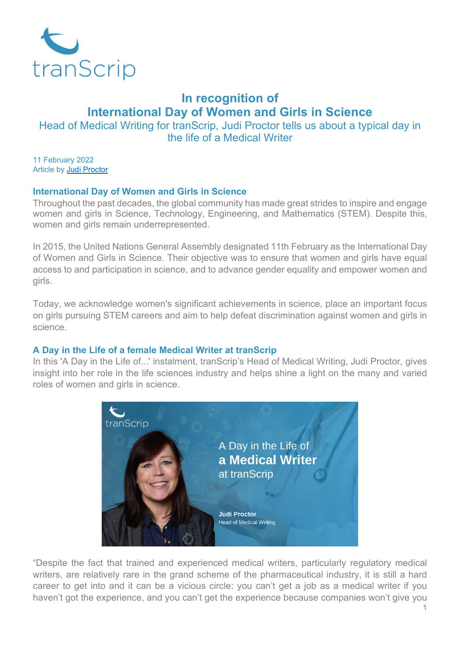

# **In recognition of International Day of Women and Girls in Science**

Head of Medical Writing for tranScrip, Judi Proctor tells us about a typical day in the life of a Medical Writer

11 February 2022 Article by [Judi Proctor](https://www.transcrip-partners.com/person/judi-proctor)

## **International Day of Women and Girls in Science**

Throughout the past decades, the global community has made great strides to inspire and engage women and girls in Science, Technology, Engineering, and Mathematics (STEM). Despite this, women and girls remain underrepresented.

In 2015, the United Nations General Assembly designated 11th February as the International Day of Women and Girls in Science. Their objective was to ensure that women and girls have equal access to and participation in science, and to advance gender equality and empower women and girls.

Today, we acknowledge women's significant achievements in science, place an important focus on girls pursuing STEM careers and aim to help defeat discrimination against women and girls in science.

## **A Day in the Life of a female Medical Writer at tranScrip**

In this ['A Day in the Life of...'](https://www.transcrip-partners.com/news/day-life-pharmaceutical-physician-transcrip) instalment, tranScrip's Head of Medical Writing, Judi Proctor, gives insight into her role in the life sciences industry and helps shine a light on the many and varied roles of women and girls in science.



"Despite the fact that trained and experienced medical writers, particularly regulatory medical writers, are relatively rare in the grand scheme of the pharmaceutical industry, it is still a hard career to get into and it can be a vicious circle: you can't get a job as a medical writer if you haven't got the experience, and you can't get the experience because companies won't give you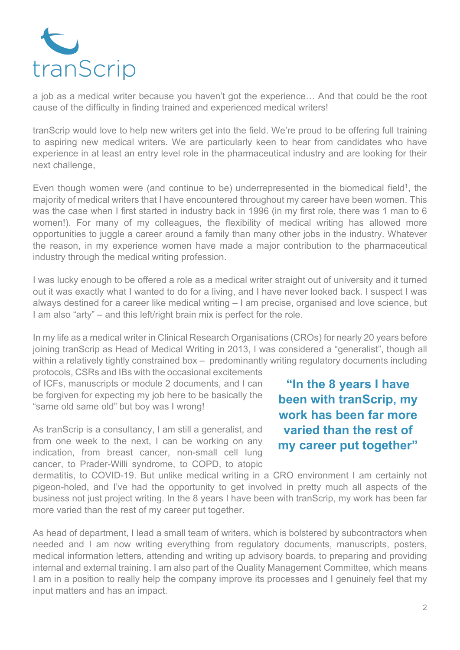

a job as a medical writer because you haven't got the experience… And that could be the root cause of the difficulty in finding trained and experienced medical writers!

tranScrip would love to help new writers get into the field. We're proud to be offering full training to aspiring new medical writers. We are particularly keen to hear from candidates who have experience in at least an entry level role in the pharmaceutical industry and are looking for their next challenge,

Even though women were (and continue to be) underrepresented in the biomedical field<sup>1</sup>, the majority of medical writers that I have encountered throughout my career have been women. This was the case when I first started in industry back in 1996 (in my first role, there was 1 man to 6 women!). For many of my colleagues, the flexibility of medical writing has allowed more opportunities to juggle a career around a family than many other jobs in the industry. Whatever the reason, in my experience women have made a major contribution to the pharmaceutical industry through the medical writing profession.

I was lucky enough to be offered a role as a medical writer straight out of university and it turned out it was exactly what I wanted to do for a living, and I have never looked back. I suspect I was always destined for a career like medical writing – I am precise, organised and love science, but I am also "arty" – and this left/right brain mix is perfect for the role.

In my life as a medical writer in Clinical Research Organisations (CROs) for nearly 20 years before joining tranScrip as Head of Medical Writing in 2013, I was considered a "generalist", though all within a relatively tightly constrained box – predominantly writing regulatory documents including

protocols, CSRs and IBs with the occasional excitements of ICFs, manuscripts or module 2 documents, and I can be forgiven for expecting my job here to be basically the "same old same old" but boy was I wrong!

As tranScrip is a consultancy, I am still a generalist, and from one week to the next, I can be working on any indication, from breast cancer, non-small cell lung cancer, to Prader-Willi syndrome, to COPD, to atopic

**"In the 8 years I have been with tranScrip, my work has been far more varied than the rest of my career put together"**

dermatitis, to COVID-19. But unlike medical writing in a CRO environment I am certainly not pigeon-holed, and I've had the opportunity to get involved in pretty much all aspects of the business not just project writing. In the 8 years I have been with tranScrip, my work has been far more varied than the rest of my career put together.

As head of department, I lead a small team of writers, which is bolstered by subcontractors when needed and I am now writing everything from regulatory documents, manuscripts, posters, medical information letters, attending and writing up advisory boards, to preparing and providing internal and external training. I am also part of the Quality Management Committee, which means I am in a position to really help the company improve its processes and I genuinely feel that my input matters and has an impact.